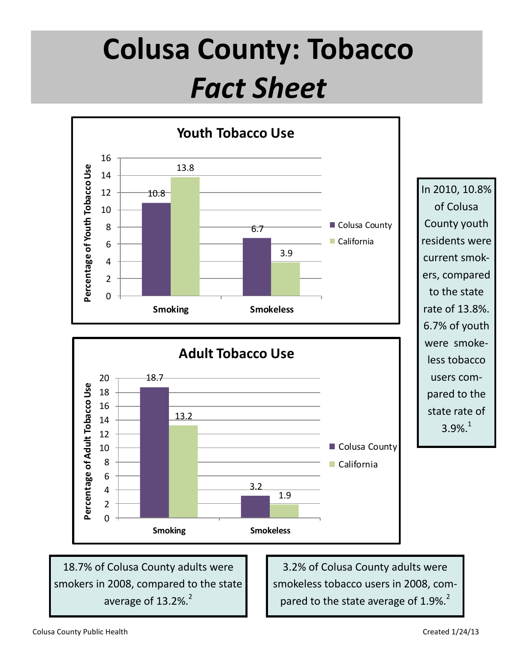## **Colusa County: Tobacco**  *Fact Sheet*



18.7% of Colusa County adults were smokers in 2008, compared to the state average of  $13.2\%$ <sup>2</sup>

3.2% of Colusa County adults were smokeless tobacco users in 2008, compared to the state average of  $1.9\%$ .<sup>2</sup>